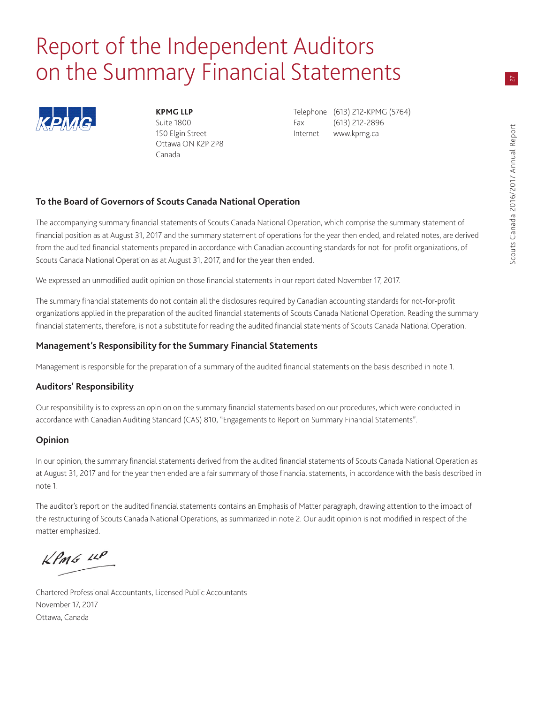## Report of the Independent Auditors on the Summary Financial Statements



Ottawa ON K2P 2P8 Canada

**KPMG LLP** Telephone (613) 212-KPMG (5764) Suite 1800 **Fax** (613) 212-2896 150 Elgin Street **Internet** www.kpmg.ca

## **To the Board of Governors of Scouts Canada National Operation**

The accompanying summary financial statements of Scouts Canada National Operation, which comprise the summary statement of financial position as at August 31, 2017 and the summary statement of operations for the year then ended, and related notes, are derived from the audited financial statements prepared in accordance with Canadian accounting standards for not-for-profit organizations, of Scouts Canada National Operation as at August 31, 2017, and for the year then ended.

We expressed an unmodified audit opinion on those financial statements in our report dated November 17, 2017.

The summary financial statements do not contain all the disclosures required by Canadian accounting standards for not-for-profit organizations applied in the preparation of the audited financial statements of Scouts Canada National Operation. Reading the summary financial statements, therefore, is not a substitute for reading the audited financial statements of Scouts Canada National Operation.

## **Management's Responsibility for the Summary Financial Statements**

Management is responsible for the preparation of a summary of the audited financial statements on the basis described in note 1.

## **Auditors' Responsibility**

Our responsibility is to express an opinion on the summary financial statements based on our procedures, which were conducted in accordance with Canadian Auditing Standard (CAS) 810, "Engagements to Report on Summary Financial Statements".

## **Opinion**

In our opinion, the summary financial statements derived from the audited financial statements of Scouts Canada National Operation as at August 31, 2017 and for the year then ended are a fair summary of those financial statements, in accordance with the basis described in note 1.

The auditor's report on the audited financial statements contains an Emphasis of Matter paragraph, drawing attention to the impact of the restructuring of Scouts Canada National Operations, as summarized in note 2. Our audit opinion is not modified in respect of the matter emphasized.

 $KPMG$  14P

Chartered Professional Accountants, Licensed Public Accountants November 17, 2017 Ottawa, Canada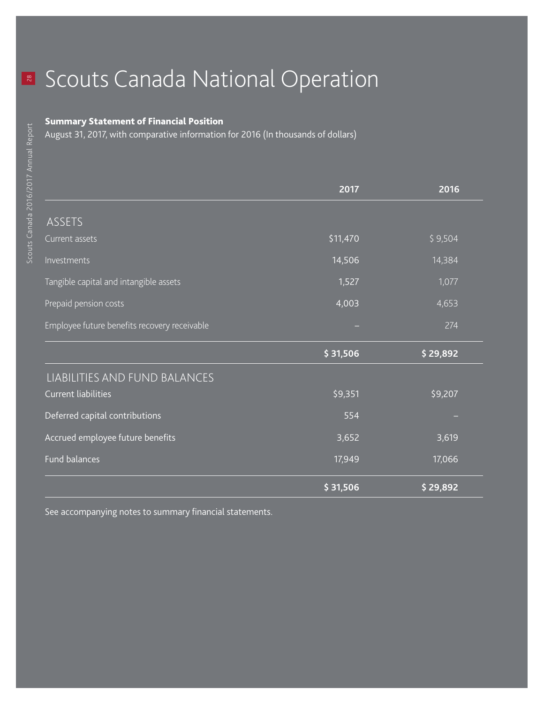## **R** Scouts Canada National Operation

## Summary Statement of Financial Position

August 31, 2017, with comparative information for 2016 (In thousands of dollars)

|                                              | 2017     | 2016     |
|----------------------------------------------|----------|----------|
|                                              |          |          |
| ASSETS                                       |          |          |
| Current assets                               | \$11,470 | \$9,504  |
| Investments                                  | 14,506   | 14,384   |
| Tangible capital and intangible assets       | 1,527    | 1,077    |
| Prepaid pension costs                        | 4,003    | 4,653    |
| Employee future benefits recovery receivable |          | 274      |
|                                              | \$31,506 | \$29,892 |
| LIABILITIES AND FUND BALANCES                |          |          |
| <b>Current liabilities</b>                   | \$9,351  | \$9,207  |
| Deferred capital contributions               | 554      |          |
| Accrued employee future benefits             | 3,652    | 3,619    |
|                                              |          |          |
| <b>Fund balances</b>                         | 17,949   | 17,066   |

See accompanying notes to summary financial statements.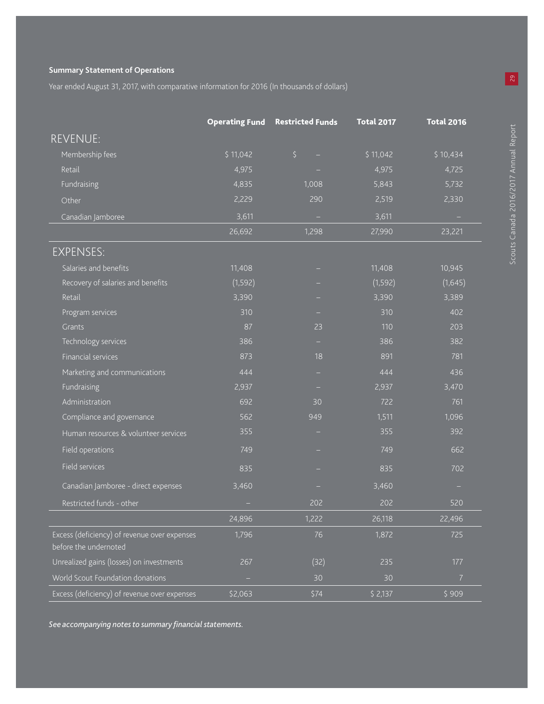## **Summary Statement of Operations**

Year ended August 31, 2017, with comparative information for 2016 (In thousands of dollars)

|                                                                       |          | <b>Operating Fund Restricted Funds</b> | <b>Total 2017</b> | <b>Total 2016</b>        |
|-----------------------------------------------------------------------|----------|----------------------------------------|-------------------|--------------------------|
| <b>REVENUE:</b>                                                       |          |                                        |                   |                          |
| Membership fees                                                       | \$11,042 | $\zeta$                                | \$11,042          | \$10,434                 |
| Retail                                                                | 4,975    |                                        | 4,975             | 4,725                    |
| Fundraising                                                           | 4,835    | 1,008                                  | 5,843             | 5,732                    |
| Other                                                                 | 2,229    | 290                                    | 2,519             | 2,330                    |
| Canadian Jamboree                                                     | 3,611    | $\sim$                                 | 3,611             | $\overline{\phantom{a}}$ |
|                                                                       | 26,692   | 1,298                                  | 27,990            | 23,221                   |
| <b>EXPENSES:</b>                                                      |          |                                        |                   |                          |
| Salaries and benefits                                                 | 11,408   |                                        | 11,408            | 10,945                   |
| Recovery of salaries and benefits                                     | (1,592)  |                                        | (1, 592)          | (1,645)                  |
| Retail                                                                | 3,390    |                                        | 3,390             | 3,389                    |
| Program services                                                      | 310      |                                        | 310               | 402                      |
| Grants                                                                | 87       | 23                                     | 110               | 203                      |
| Technology services                                                   | 386      |                                        | 386               | 382                      |
| Financial services                                                    | 873      | 18                                     | 891               | 781                      |
| Marketing and communications                                          | 444      | -                                      | 444               | 436                      |
| Fundraising                                                           | 2,937    |                                        | 2,937             | 3,470                    |
| Administration                                                        | 692      | 30                                     | 722               | 761                      |
| Compliance and governance                                             | 562      | 949                                    | 1,511             | 1,096                    |
| Human resources & volunteer services                                  | 355      |                                        | 355               | 392                      |
| Field operations                                                      | 749      |                                        | 749               | 662                      |
| Field services                                                        | 835      |                                        | 835               | 702                      |
| Canadian Jamboree - direct expenses                                   | 3,460    |                                        | 3,460             |                          |
| Restricted funds - other                                              | -        | 202                                    | 202               | 520                      |
|                                                                       | 24,896   | 1,222                                  | 26,118            | 22,496                   |
| Excess (deficiency) of revenue over expenses<br>before the undernoted | 1,796    | 76                                     | 1,872             | 725                      |
| Unrealized gains (losses) on investments                              | 267      | (32)                                   | 235               | 177                      |
| World Scout Foundation donations                                      | ۳        | 30                                     | 30                | $\overline{7}$           |
| Excess (deficiency) of revenue over expenses                          | \$2,063  | \$74                                   | \$2,137           | \$909                    |

*See accompanying notes to summary financial statements.*

29